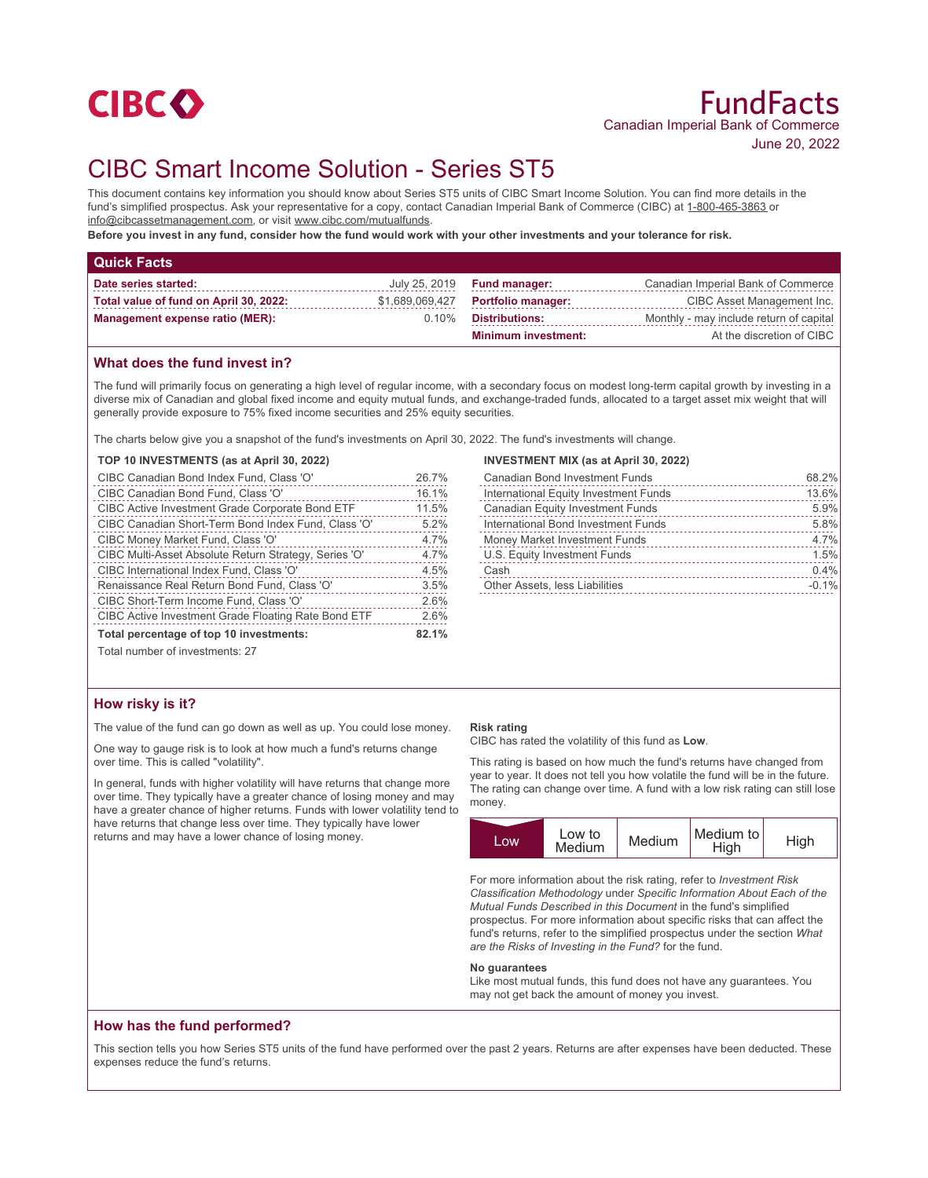

# CIBC Smart Income Solution - Series ST5

This document contains key information you should know about Series ST5 units of CIBC Smart Income Solution. You can find more details in the fund's simplified prospectus. Ask your representative for a copy, contact Canadian Imperial Bank of Commerce (CIBC) at 1-800-465-3863 or info@cibcassetmanagement.com, or visit www.cibc.com/mutualfunds.

**Before you invest in any fund, consider how the fund would work with your other investments and your tolerance for risk.**

| <b>Quick Facts</b>                     |                 |                                    |                                         |
|----------------------------------------|-----------------|------------------------------------|-----------------------------------------|
| Date series started:                   |                 | July 25, 2019 <b>Fund manager:</b> | Canadian Imperial Bank of Commerce      |
| Total value of fund on April 30, 2022: | \$1,689,069,427 | <b>Portfolio manager:</b>          | CIBC Asset Management Inc.              |
| <b>Management expense ratio (MER):</b> | $0.10\%$        | Distributions:                     | Monthly - may include return of capital |
|                                        |                 | <b>Minimum investment:</b>         | At the discretion of CIBC               |

### **What does the fund invest in?**

The fund will primarily focus on generating a high level of regular income, with a secondary focus on modest long-term capital growth by investing in a diverse mix of Canadian and global fixed income and equity mutual funds, and exchange-traded funds, allocated to a target asset mix weight that will generally provide exposure to 75% fixed income securities and 25% equity securities.

The charts below give you a snapshot of the fund's investments on April 30, 2022. The fund's investments will change.

#### **TOP 10 INVESTMENTS (as at April 30, 2022)**

| CIBC Canadian Bond Index Fund, Class 'O'                   | 26.7% |
|------------------------------------------------------------|-------|
| CIBC Canadian Bond Fund, Class 'O'                         | 16.1% |
| <b>CIBC Active Investment Grade Corporate Bond ETF</b>     | 11.5% |
| CIBC Canadian Short-Term Bond Index Fund, Class 'O'        | 5.2%  |
| CIBC Money Market Fund, Class 'O'                          | 4.7%  |
| CIBC Multi-Asset Absolute Return Strategy, Series 'O'      | 4.7%  |
| CIBC International Index Fund, Class 'O'                   | 4.5%  |
| Renaissance Real Return Bond Fund, Class 'O'               | 3.5%  |
| CIBC Short-Term Income Fund, Class 'O'                     | 2.6%  |
| <b>CIBC Active Investment Grade Floating Rate Bond ETF</b> | 2.6%  |
| Total percentage of top 10 investments:                    |       |
| Total number of investments: 27                            |       |

# **INVESTMENT MIX (as at April 30, 2022)**

|                                | <b>Canadian Bond Investment Funds</b>   | 68.2%   |
|--------------------------------|-----------------------------------------|---------|
|                                | International Equity Investment Funds   | 13.6%   |
|                                | <b>Canadian Equity Investment Funds</b> | 5.9%    |
|                                | International Bond Investment Funds     | 5.8%    |
|                                | Money Market Investment Funds           | 4.7%    |
|                                | U.S. Equity Investment Funds            | 1.5%    |
| Cash                           |                                         | 0.4%    |
| Other Assets, less Liabilities |                                         | $-0.1%$ |
|                                |                                         |         |

# **How risky is it?**

The value of the fund can go down as well as up. You could lose money.

One way to gauge risk is to look at how much a fund's returns change over time. This is called "volatility".

In general, funds with higher volatility will have returns that change more over time. They typically have a greater chance of losing money and may have a greater chance of higher returns. Funds with lower volatility tend to have returns that change less over time. They typically have lower returns and may have a lower chance of losing money.

#### **Risk rating**

CIBC has rated the volatility of this fund as **Low**.

This rating is based on how much the fund's returns have changed from year to year. It does not tell you how volatile the fund will be in the future. The rating can change over time. A fund with a low risk rating can still lose money.



For more information about the risk rating, refer to *Investment Risk Classification Methodology* under *Specific Information About Each of the Mutual Funds Described in this Document* in the fund's simplified prospectus. For more information about specific risks that can affect the fund's returns, refer to the simplified prospectus under the section *What are the Risks of Investing in the Fund?* for the fund.

#### **No guarantees**

Like most mutual funds, this fund does not have any guarantees. You may not get back the amount of money you invest.

#### **How has the fund performed?**

This section tells you how Series ST5 units of the fund have performed over the past 2 years. Returns are after expenses have been deducted. These expenses reduce the fund's returns.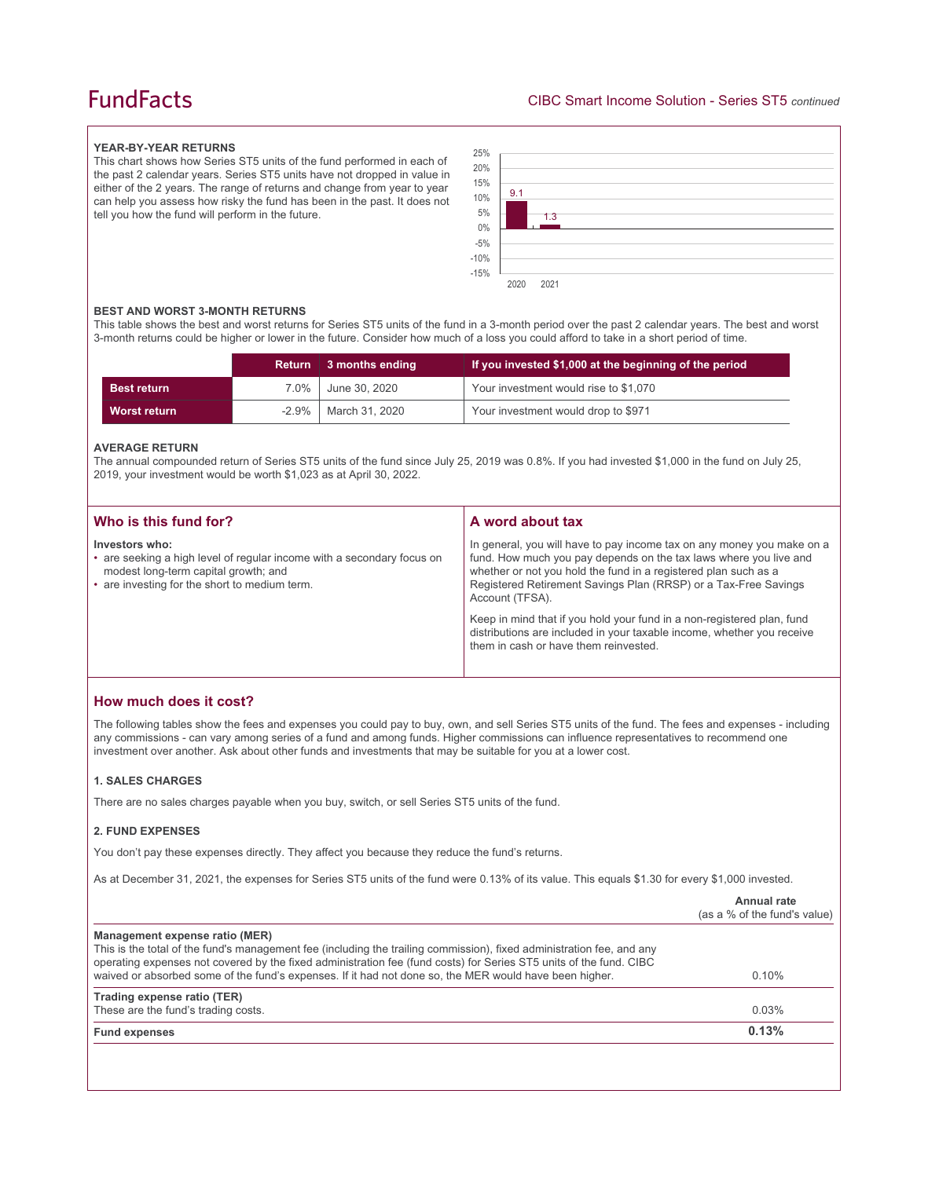# **FundFacts**

#### **YEAR-BY-YEAR RETURNS**

This chart shows how Series ST5 units of the fund performed in each of the past 2 calendar years. Series ST5 units have not dropped in value in either of the 2 years. The range of returns and change from year to year can help you assess how risky the fund has been in the past. It does not tell you how the fund will perform in the future.



#### **BEST AND WORST 3-MONTH RETURNS**

This table shows the best and worst returns for Series ST5 units of the fund in a 3-month period over the past 2 calendar years. The best and worst 3-month returns could be higher or lower in the future. Consider how much of a loss you could afford to take in a short period of time.

|                    |          | Return 3 months ending | If you invested \$1,000 at the beginning of the period |
|--------------------|----------|------------------------|--------------------------------------------------------|
| <b>Best return</b> | 7.0%     | June 30, 2020          | Your investment would rise to \$1,070                  |
| Worst return       | $-2.9\%$ | March 31, 2020         | Your investment would drop to \$971                    |

#### **AVERAGE RETURN**

The annual compounded return of Series ST5 units of the fund since July 25, 2019 was 0.8%. If you had invested \$1,000 in the fund on July 25, 2019, your investment would be worth \$1,023 as at April 30, 2022.

| Who is this fund for?                                                                                                                                                             | A word about tax                                                                                                                                                                                                                                                                                                                                                                                                                                                                                  |
|-----------------------------------------------------------------------------------------------------------------------------------------------------------------------------------|---------------------------------------------------------------------------------------------------------------------------------------------------------------------------------------------------------------------------------------------------------------------------------------------------------------------------------------------------------------------------------------------------------------------------------------------------------------------------------------------------|
| Investors who:<br>• are seeking a high level of regular income with a secondary focus on<br>modest long-term capital growth; and<br>• are investing for the short to medium term. | In general, you will have to pay income tax on any money you make on a<br>fund. How much you pay depends on the tax laws where you live and<br>whether or not you hold the fund in a registered plan such as a<br>Registered Retirement Savings Plan (RRSP) or a Tax-Free Savings<br>Account (TFSA).<br>Keep in mind that if you hold your fund in a non-registered plan, fund<br>distributions are included in your taxable income, whether you receive<br>them in cash or have them reinvested. |

### **How much does it cost?**

The following tables show the fees and expenses you could pay to buy, own, and sell Series ST5 units of the fund. The fees and expenses - including any commissions - can vary among series of a fund and among funds. Higher commissions can influence representatives to recommend one investment over another. Ask about other funds and investments that may be suitable for you at a lower cost.

#### **1. SALES CHARGES**

There are no sales charges payable when you buy, switch, or sell Series ST5 units of the fund.

#### **2. FUND EXPENSES**

You don't pay these expenses directly. They affect you because they reduce the fund's returns.

As at December 31, 2021, the expenses for Series ST5 units of the fund were 0.13% of its value. This equals \$1.30 for every \$1,000 invested.

|                                                                                                                                                                                                                                                                                                                                                                                         | Annual rate<br>(as a % of the fund's value) |
|-----------------------------------------------------------------------------------------------------------------------------------------------------------------------------------------------------------------------------------------------------------------------------------------------------------------------------------------------------------------------------------------|---------------------------------------------|
| Management expense ratio (MER)<br>This is the total of the fund's management fee (including the trailing commission), fixed administration fee, and any<br>operating expenses not covered by the fixed administration fee (fund costs) for Series ST5 units of the fund. CIBC<br>waived or absorbed some of the fund's expenses. If it had not done so, the MER would have been higher. | $0.10\%$                                    |
| Trading expense ratio (TER)<br>These are the fund's trading costs.                                                                                                                                                                                                                                                                                                                      | 0.03%                                       |
| <b>Fund expenses</b>                                                                                                                                                                                                                                                                                                                                                                    | 0.13%                                       |